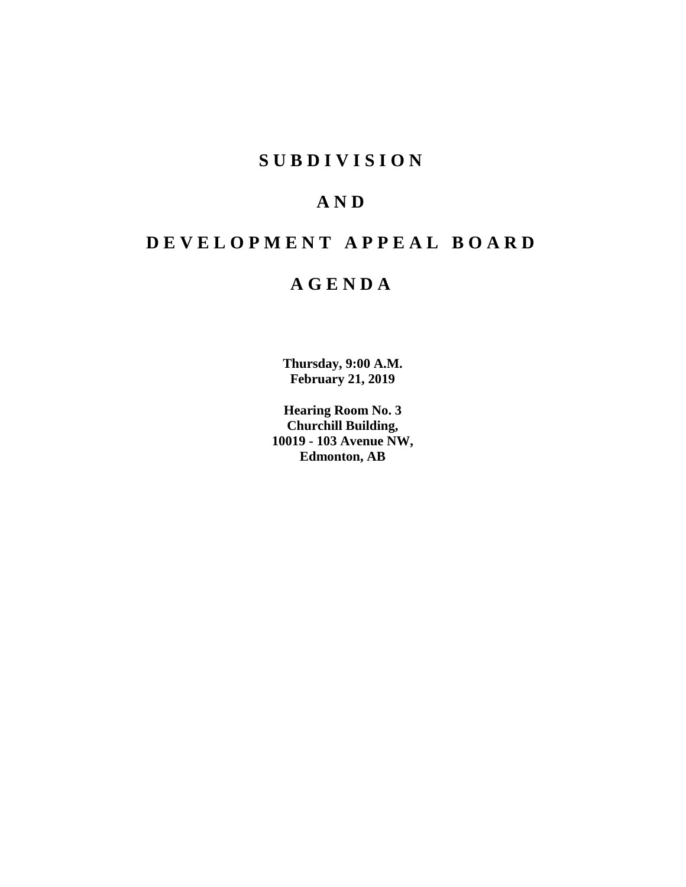# **S U B D I V I S I O N**

# **A N D**

# **D E V E L O P M E N T A P P E A L B O A R D**

# **A G E N D A**

**Thursday, 9:00 A.M. February 21, 2019**

**Hearing Room No. 3 Churchill Building, 10019 - 103 Avenue NW, Edmonton, AB**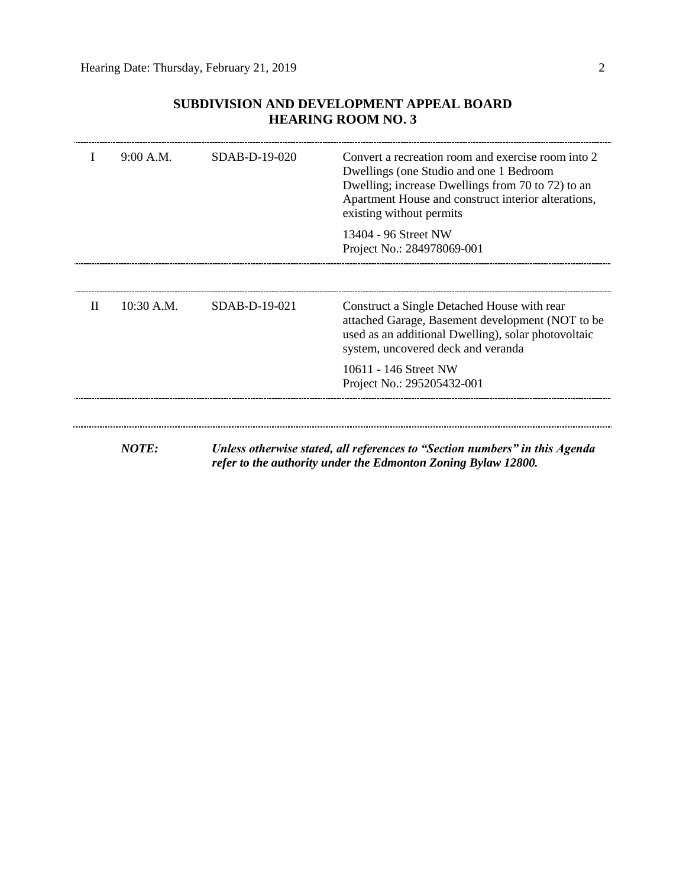| L     | 9:00 A.M.    | SDAB-D-19-020   | Convert a recreation room and exercise room into 2<br>Dwellings (one Studio and one 1 Bedroom<br>Dwelling; increase Dwellings from 70 to 72) to an<br>Apartment House and construct interior alterations,<br>existing without permits |
|-------|--------------|-----------------|---------------------------------------------------------------------------------------------------------------------------------------------------------------------------------------------------------------------------------------|
|       |              |                 | 13404 - 96 Street NW<br>Project No.: 284978069-001                                                                                                                                                                                    |
|       |              |                 |                                                                                                                                                                                                                                       |
| $\Pi$ | $10:30$ A.M. | $SDAB-D-19-021$ | Construct a Single Detached House with rear<br>attached Garage, Basement development (NOT to be<br>used as an additional Dwelling), solar photovoltaic<br>system, uncovered deck and veranda                                          |
|       |              |                 | 10611 - 146 Street NW<br>Project No.: 295205432-001                                                                                                                                                                                   |

# **SUBDIVISION AND DEVELOPMENT APPEAL BOARD HEARING ROOM NO. 3**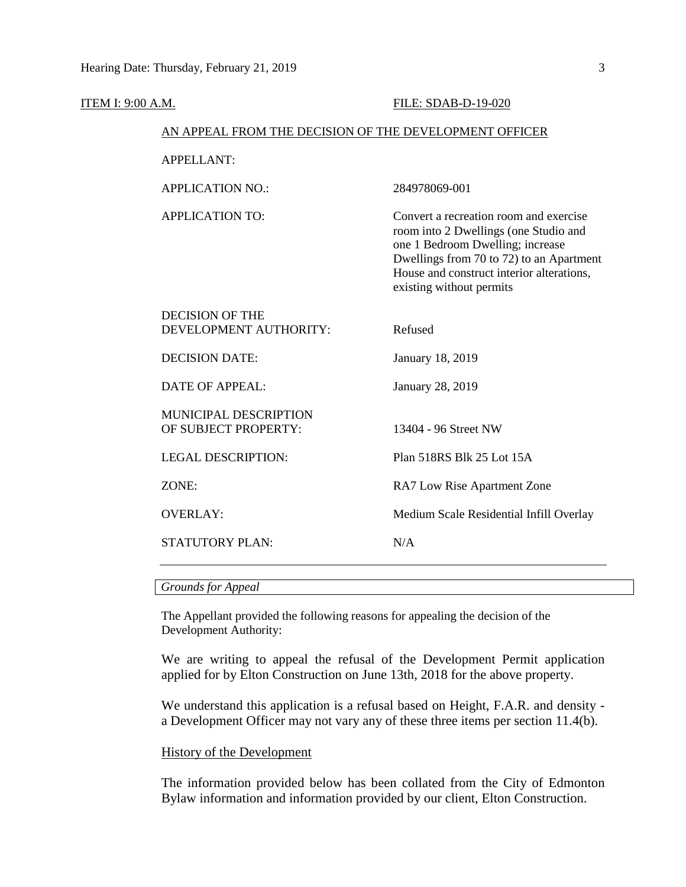| <b>ITEM I: 9:00 A.M.</b> |                                                        | FILE: SDAB-D-19-020                                                                                                                                                                                                                      |  |  |  |  |
|--------------------------|--------------------------------------------------------|------------------------------------------------------------------------------------------------------------------------------------------------------------------------------------------------------------------------------------------|--|--|--|--|
|                          | AN APPEAL FROM THE DECISION OF THE DEVELOPMENT OFFICER |                                                                                                                                                                                                                                          |  |  |  |  |
|                          | <b>APPELLANT:</b>                                      |                                                                                                                                                                                                                                          |  |  |  |  |
|                          | <b>APPLICATION NO.:</b>                                | 284978069-001                                                                                                                                                                                                                            |  |  |  |  |
|                          | <b>APPLICATION TO:</b>                                 | Convert a recreation room and exercise<br>room into 2 Dwellings (one Studio and<br>one 1 Bedroom Dwelling; increase<br>Dwellings from 70 to 72) to an Apartment<br>House and construct interior alterations,<br>existing without permits |  |  |  |  |
|                          | <b>DECISION OF THE</b><br>DEVELOPMENT AUTHORITY:       | Refused                                                                                                                                                                                                                                  |  |  |  |  |
|                          | <b>DECISION DATE:</b>                                  | January 18, 2019                                                                                                                                                                                                                         |  |  |  |  |
|                          | <b>DATE OF APPEAL:</b>                                 | January 28, 2019                                                                                                                                                                                                                         |  |  |  |  |
|                          | MUNICIPAL DESCRIPTION<br>OF SUBJECT PROPERTY:          | 13404 - 96 Street NW                                                                                                                                                                                                                     |  |  |  |  |
|                          | <b>LEGAL DESCRIPTION:</b>                              | Plan 518RS Blk 25 Lot 15A                                                                                                                                                                                                                |  |  |  |  |
|                          | ZONE:                                                  | RA7 Low Rise Apartment Zone                                                                                                                                                                                                              |  |  |  |  |
|                          | <b>OVERLAY:</b>                                        | Medium Scale Residential Infill Overlay                                                                                                                                                                                                  |  |  |  |  |
|                          | STATUTORY PLAN:                                        | N/A                                                                                                                                                                                                                                      |  |  |  |  |

## *Grounds for Appeal*

The Appellant provided the following reasons for appealing the decision of the Development Authority:

We are writing to appeal the refusal of the Development Permit application applied for by Elton Construction on June 13th, 2018 for the above property.

We understand this application is a refusal based on Height, F.A.R. and density a Development Officer may not vary any of these three items per section 11.4(b).

# History of the Development

The information provided below has been collated from the City of Edmonton Bylaw information and information provided by our client, Elton Construction.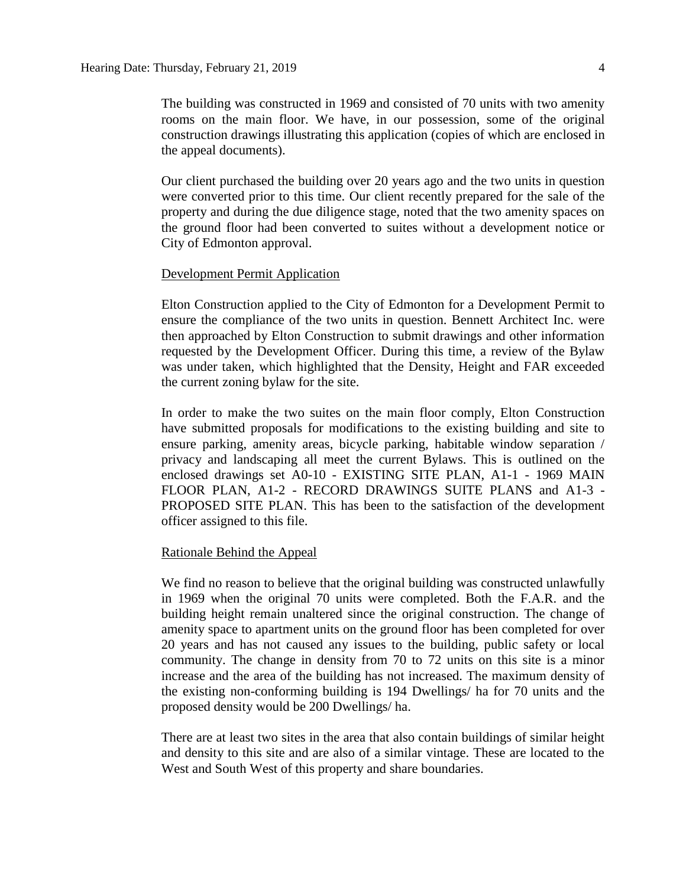The building was constructed in 1969 and consisted of 70 units with two amenity rooms on the main floor. We have, in our possession, some of the original construction drawings illustrating this application (copies of which are enclosed in the appeal documents).

Our client purchased the building over 20 years ago and the two units in question were converted prior to this time. Our client recently prepared for the sale of the property and during the due diligence stage, noted that the two amenity spaces on the ground floor had been converted to suites without a development notice or City of Edmonton approval.

# Development Permit Application

Elton Construction applied to the City of Edmonton for a Development Permit to ensure the compliance of the two units in question. Bennett Architect Inc. were then approached by Elton Construction to submit drawings and other information requested by the Development Officer. During this time, a review of the Bylaw was under taken, which highlighted that the Density, Height and FAR exceeded the current zoning bylaw for the site.

In order to make the two suites on the main floor comply, Elton Construction have submitted proposals for modifications to the existing building and site to ensure parking, amenity areas, bicycle parking, habitable window separation / privacy and landscaping all meet the current Bylaws. This is outlined on the enclosed drawings set A0-10 - EXISTING SITE PLAN, A1-1 - 1969 MAIN FLOOR PLAN, A1-2 - RECORD DRAWINGS SUITE PLANS and A1-3 - PROPOSED SITE PLAN. This has been to the satisfaction of the development officer assigned to this file.

### Rationale Behind the Appeal

We find no reason to believe that the original building was constructed unlawfully in 1969 when the original 70 units were completed. Both the F.A.R. and the building height remain unaltered since the original construction. The change of amenity space to apartment units on the ground floor has been completed for over 20 years and has not caused any issues to the building, public safety or local community. The change in density from 70 to 72 units on this site is a minor increase and the area of the building has not increased. The maximum density of the existing non-conforming building is 194 Dwellings/ ha for 70 units and the proposed density would be 200 Dwellings/ ha.

There are at least two sites in the area that also contain buildings of similar height and density to this site and are also of a similar vintage. These are located to the West and South West of this property and share boundaries.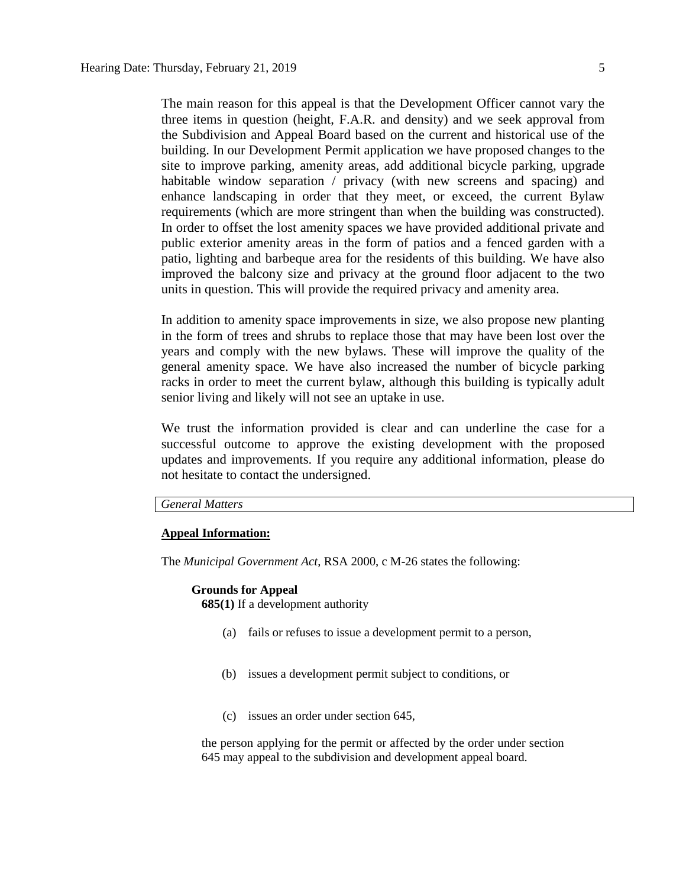The main reason for this appeal is that the Development Officer cannot vary the three items in question (height, F.A.R. and density) and we seek approval from the Subdivision and Appeal Board based on the current and historical use of the building. In our Development Permit application we have proposed changes to the site to improve parking, amenity areas, add additional bicycle parking, upgrade habitable window separation / privacy (with new screens and spacing) and enhance landscaping in order that they meet, or exceed, the current Bylaw requirements (which are more stringent than when the building was constructed). In order to offset the lost amenity spaces we have provided additional private and public exterior amenity areas in the form of patios and a fenced garden with a patio, lighting and barbeque area for the residents of this building. We have also improved the balcony size and privacy at the ground floor adjacent to the two units in question. This will provide the required privacy and amenity area.

In addition to amenity space improvements in size, we also propose new planting in the form of trees and shrubs to replace those that may have been lost over the years and comply with the new bylaws. These will improve the quality of the general amenity space. We have also increased the number of bicycle parking racks in order to meet the current bylaw, although this building is typically adult senior living and likely will not see an uptake in use.

We trust the information provided is clear and can underline the case for a successful outcome to approve the existing development with the proposed updates and improvements. If you require any additional information, please do not hesitate to contact the undersigned.

# *General Matters*

#### **Appeal Information:**

The *Municipal Government Act*, RSA 2000, c M-26 states the following:

# **Grounds for Appeal**

**685(1)** If a development authority

- (a) fails or refuses to issue a development permit to a person,
- (b) issues a development permit subject to conditions, or
- (c) issues an order under section 645,

the person applying for the permit or affected by the order under section 645 may appeal to the subdivision and development appeal board.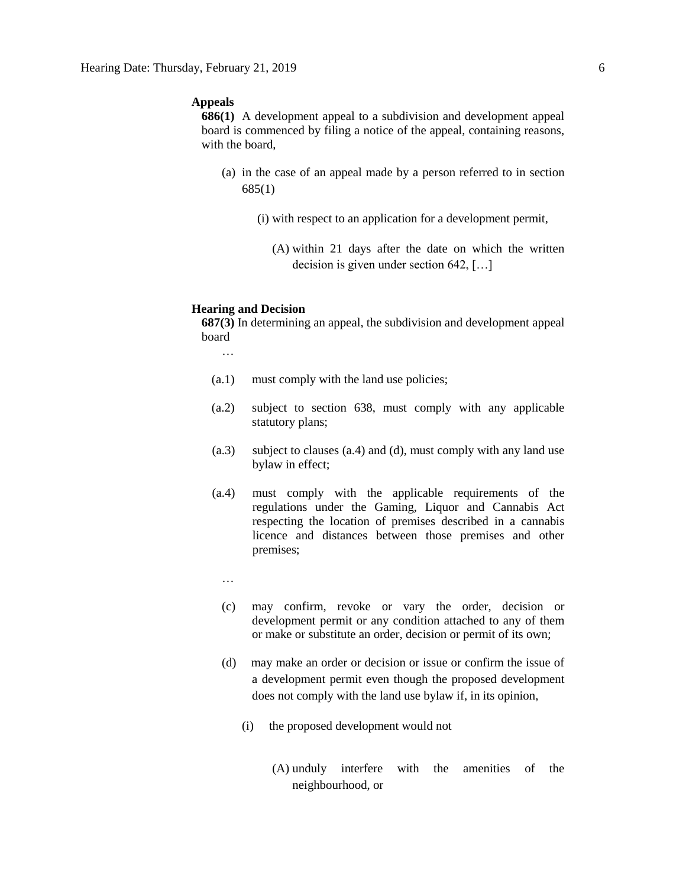# **Appeals**

**686(1)** A development appeal to a subdivision and development appeal board is commenced by filing a notice of the appeal, containing reasons, with the board,

- (a) in the case of an appeal made by a person referred to in section 685(1)
	- (i) with respect to an application for a development permit,
		- (A) within 21 days after the date on which the written decision is given under section 642, […]

### **Hearing and Decision**

**687(3)** In determining an appeal, the subdivision and development appeal board

…

- (a.1) must comply with the land use policies;
- (a.2) subject to section 638, must comply with any applicable statutory plans;
- (a.3) subject to clauses (a.4) and (d), must comply with any land use bylaw in effect;
- (a.4) must comply with the applicable requirements of the regulations under the Gaming, Liquor and Cannabis Act respecting the location of premises described in a cannabis licence and distances between those premises and other premises;
	- …
	- (c) may confirm, revoke or vary the order, decision or development permit or any condition attached to any of them or make or substitute an order, decision or permit of its own;
	- (d) may make an order or decision or issue or confirm the issue of a development permit even though the proposed development does not comply with the land use bylaw if, in its opinion,
		- (i) the proposed development would not
			- (A) unduly interfere with the amenities of the neighbourhood, or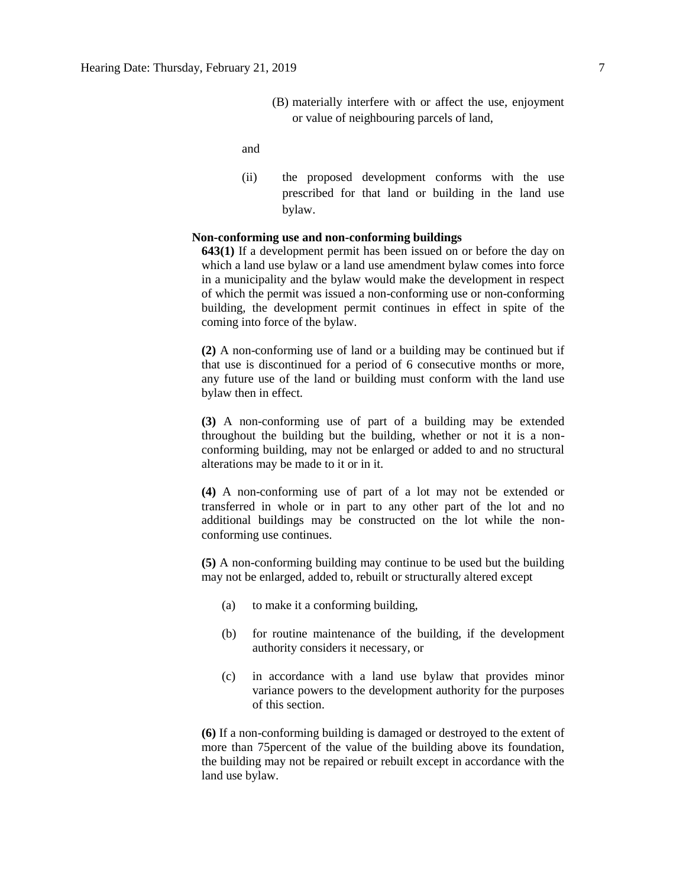(B) materially interfere with or affect the use, enjoyment or value of neighbouring parcels of land,

and

(ii) the proposed development conforms with the use prescribed for that land or building in the land use bylaw.

# **Non-conforming use and non-conforming buildings**

**643(1)** If a development permit has been issued on or before the day on which a land use bylaw or a land use amendment bylaw comes into force in a municipality and the bylaw would make the development in respect of which the permit was issued a non-conforming use or non-conforming building, the development permit continues in effect in spite of the coming into force of the bylaw.

**(2)** A non-conforming use of land or a building may be continued but if that use is discontinued for a period of 6 consecutive months or more, any future use of the land or building must conform with the land use bylaw then in effect.

**(3)** A non-conforming use of part of a building may be extended throughout the building but the building, whether or not it is a nonconforming building, may not be enlarged or added to and no structural alterations may be made to it or in it.

**(4)** A non-conforming use of part of a lot may not be extended or transferred in whole or in part to any other part of the lot and no additional buildings may be constructed on the lot while the nonconforming use continues.

**(5)** A non-conforming building may continue to be used but the building may not be enlarged, added to, rebuilt or structurally altered except

- (a) to make it a conforming building,
- (b) for routine maintenance of the building, if the development authority considers it necessary, or
- (c) in accordance with a land use bylaw that provides minor variance powers to the development authority for the purposes of this section.

**(6)** If a non-conforming building is damaged or destroyed to the extent of more than 75percent of the value of the building above its foundation, the building may not be repaired or rebuilt except in accordance with the land use bylaw.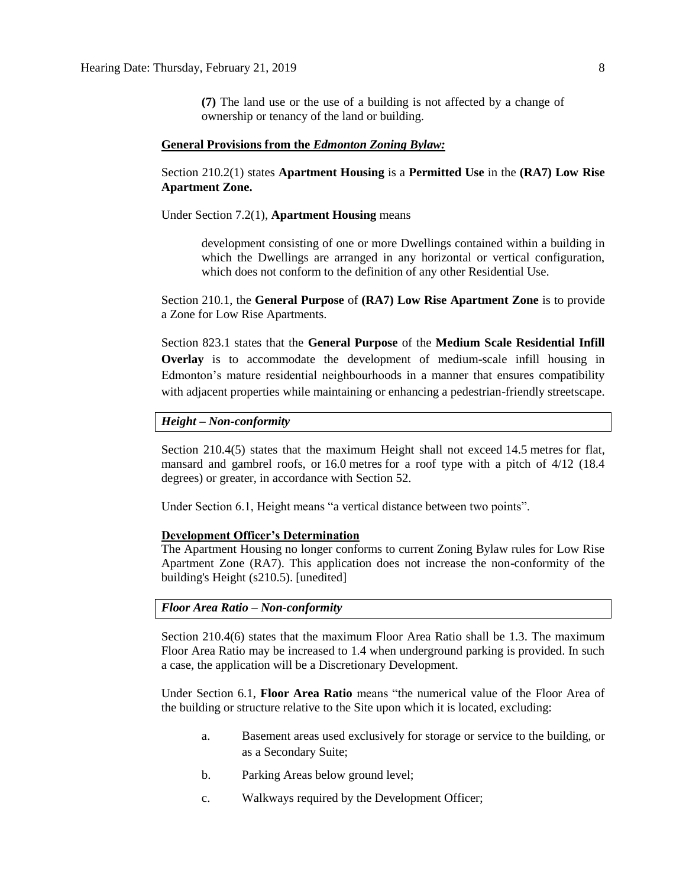**(7)** The land use or the use of a building is not affected by a change of ownership or tenancy of the land or building.

#### **General Provisions from the** *Edmonton Zoning Bylaw:*

Section 210.2(1) states **Apartment Housing** is a **Permitted Use** in the **(RA7) Low Rise Apartment Zone.** 

Under Section 7.2(1), **Apartment Housing** means

development consisting of one or more Dwellings contained within a building in which the Dwellings are arranged in any horizontal or vertical configuration, which does not conform to the definition of any other Residential Use.

Section 210.1, the **General Purpose** of **(RA7) Low Rise Apartment Zone** is to provide a Zone for Low Rise Apartments.

Section 823.1 states that the **General Purpose** of the **Medium Scale Residential Infill Overlay** is to accommodate the development of medium-scale infill housing in Edmonton's mature residential neighbourhoods in a manner that ensures compatibility with adjacent properties while maintaining or enhancing a pedestrian-friendly streetscape.

#### *Height – Non-conformity*

Section 210.4(5) states that the maximum Height shall not exceed [14.5](javascript:void(0);) metres for flat, mansard and gambrel roofs, or [16.0](javascript:void(0);) metres for a roof type with a pitch of 4/12 (18.4 degrees) or greater, in accordance with Section 52.

Under Section 6.1, Height means "a vertical distance between two points".

#### **Development Officer's Determination**

The Apartment Housing no longer conforms to current Zoning Bylaw rules for Low Rise Apartment Zone (RA7). This application does not increase the non-conformity of the building's Height (s210.5). [unedited]

#### *Floor Area Ratio – Non-conformity*

Section 210.4(6) states that the maximum Floor Area Ratio shall be 1.3. The maximum Floor Area Ratio may be increased to 1.4 when underground parking is provided. In such a case, the application will be a Discretionary Development.

Under Section 6.1, **Floor Area Ratio** means "the numerical value of the Floor Area of the building or structure relative to the Site upon which it is located, excluding:

- a. Basement areas used exclusively for storage or service to the building, or as a Secondary Suite;
- b. Parking Areas below ground level;
- c. Walkways required by the Development Officer;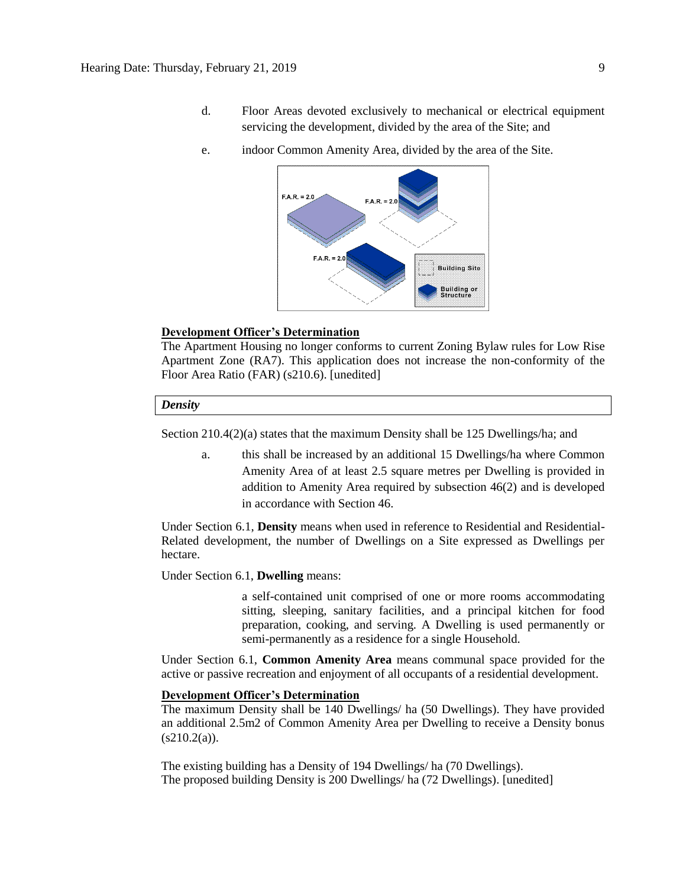- d. Floor Areas devoted exclusively to mechanical or electrical equipment servicing the development, divided by the area of the Site; and
- e. indoor Common Amenity Area, divided by the area of the Site.



#### **Development Officer's Determination**

The Apartment Housing no longer conforms to current Zoning Bylaw rules for Low Rise Apartment Zone (RA7). This application does not increase the non-conformity of the Floor Area Ratio (FAR) (s210.6). [unedited]

#### *Density*

Section 210.4(2)(a) states that the maximum Density shall be 125 Dwellings/ha; and

a. this shall be increased by an additional 15 Dwellings/ha where Common Amenity Area of at least 2.5 square metres per Dwelling is provided in addition to Amenity Area required by subsection 46(2) and is developed in accordance with [Section 46.](https://webdocs.edmonton.ca/InfraPlan/zoningbylaw/ZoningBylaw/Part1/Development/46__Amenity_Area.htm)

Under Section 6.1, **Density** means when used in reference to Residential and Residential-Related development, the number of Dwellings on a Site expressed as Dwellings per hectare.

Under Section 6.1, **Dwelling** means:

a self-contained unit comprised of one or more rooms accommodating sitting, sleeping, sanitary facilities, and a principal kitchen for food preparation, cooking, and serving. A Dwelling is used permanently or semi-permanently as a residence for a single Household.

Under Section 6.1, **Common Amenity Area** means communal space provided for the active or passive recreation and enjoyment of all occupants of a residential development.

### **Development Officer's Determination**

The maximum Density shall be 140 Dwellings/ ha (50 Dwellings). They have provided an additional 2.5m2 of Common Amenity Area per Dwelling to receive a Density bonus  $(s210.2(a))$ .

The existing building has a Density of 194 Dwellings/ ha (70 Dwellings). The proposed building Density is 200 Dwellings/ ha (72 Dwellings). [unedited]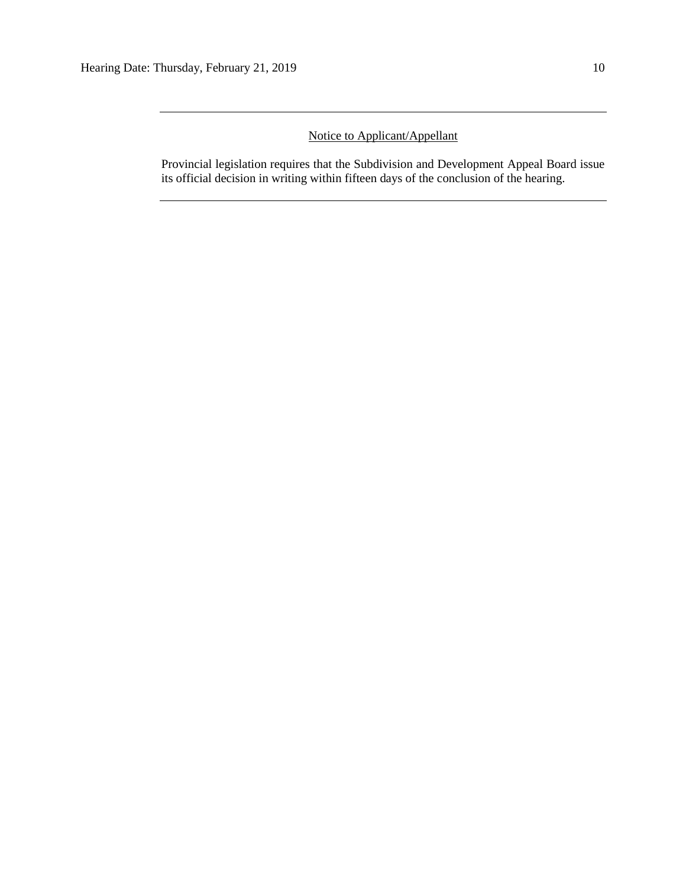# Notice to Applicant/Appellant

Provincial legislation requires that the Subdivision and Development Appeal Board issue its official decision in writing within fifteen days of the conclusion of the hearing.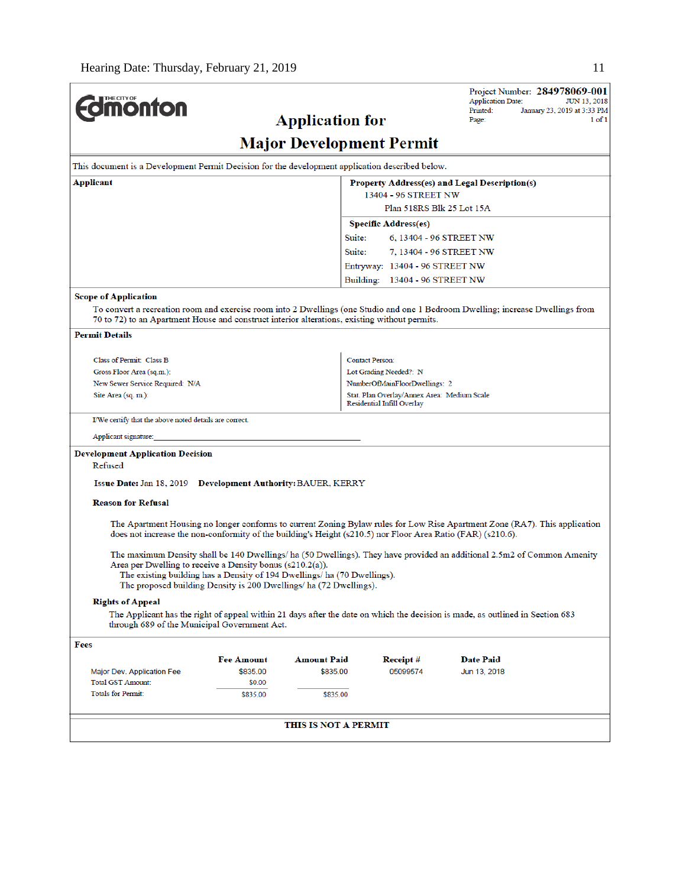| <b>Imonton</b>                                                                                                                                                                                                                   |                   | <b>Application for</b>                                                                                                                         |                                             | Project Number: 284978069-001<br><b>Application Date:</b><br>Printed:<br>Page:                                                | <b>JUN 13, 2018</b><br>January 23, 2019 at 3:33 PM<br>$1$ of $1$ |
|----------------------------------------------------------------------------------------------------------------------------------------------------------------------------------------------------------------------------------|-------------------|------------------------------------------------------------------------------------------------------------------------------------------------|---------------------------------------------|-------------------------------------------------------------------------------------------------------------------------------|------------------------------------------------------------------|
|                                                                                                                                                                                                                                  |                   | <b>Major Development Permit</b>                                                                                                                |                                             |                                                                                                                               |                                                                  |
| This document is a Development Permit Decision for the development application described below.                                                                                                                                  |                   |                                                                                                                                                |                                             |                                                                                                                               |                                                                  |
| Applicant                                                                                                                                                                                                                        |                   |                                                                                                                                                |                                             | Property Address(es) and Legal Description(s)                                                                                 |                                                                  |
|                                                                                                                                                                                                                                  |                   |                                                                                                                                                | 13404 - 96 STREET NW                        |                                                                                                                               |                                                                  |
|                                                                                                                                                                                                                                  |                   |                                                                                                                                                | Plan 518RS Blk 25 Lot 15A                   |                                                                                                                               |                                                                  |
|                                                                                                                                                                                                                                  |                   |                                                                                                                                                | <b>Specific Address(es)</b>                 |                                                                                                                               |                                                                  |
|                                                                                                                                                                                                                                  |                   | Suite:                                                                                                                                         | 6, 13404 - 96 STREET NW                     |                                                                                                                               |                                                                  |
|                                                                                                                                                                                                                                  |                   | Suite:                                                                                                                                         | 7, 13404 - 96 STREET NW                     |                                                                                                                               |                                                                  |
|                                                                                                                                                                                                                                  |                   |                                                                                                                                                | Entryway: 13404 - 96 STREET NW              |                                                                                                                               |                                                                  |
|                                                                                                                                                                                                                                  |                   |                                                                                                                                                | Building: 13404 - 96 STREET NW              |                                                                                                                               |                                                                  |
| <b>Scope of Application</b>                                                                                                                                                                                                      |                   |                                                                                                                                                |                                             |                                                                                                                               |                                                                  |
| To convert a recreation room and exercise room into 2 Dwellings (one Studio and one 1 Bedroom Dwelling; increase Dwellings from<br>70 to 72) to an Apartment House and construct interior alterations, existing without permits. |                   |                                                                                                                                                |                                             |                                                                                                                               |                                                                  |
| <b>Permit Details</b>                                                                                                                                                                                                            |                   |                                                                                                                                                |                                             |                                                                                                                               |                                                                  |
| Class of Permit: Class B                                                                                                                                                                                                         |                   |                                                                                                                                                | <b>Contact Person:</b>                      |                                                                                                                               |                                                                  |
| Gross Floor Area (sq.m.):                                                                                                                                                                                                        |                   |                                                                                                                                                | Lot Grading Needed?: N                      |                                                                                                                               |                                                                  |
| New Sewer Service Required: N/A                                                                                                                                                                                                  |                   |                                                                                                                                                | NumberOfMainFloorDwellings: 2               |                                                                                                                               |                                                                  |
| Site Area (sq. m.):                                                                                                                                                                                                              |                   |                                                                                                                                                | Stat. Plan Overlay/Annex Area: Medium Scale |                                                                                                                               |                                                                  |
|                                                                                                                                                                                                                                  |                   |                                                                                                                                                | Residential Infill Overlay                  |                                                                                                                               |                                                                  |
| I/We certify that the above noted details are correct.                                                                                                                                                                           |                   |                                                                                                                                                |                                             |                                                                                                                               |                                                                  |
| Applicant signature:                                                                                                                                                                                                             |                   |                                                                                                                                                |                                             |                                                                                                                               |                                                                  |
| <b>Development Application Decision</b><br>Refused                                                                                                                                                                               |                   |                                                                                                                                                |                                             |                                                                                                                               |                                                                  |
|                                                                                                                                                                                                                                  |                   |                                                                                                                                                |                                             |                                                                                                                               |                                                                  |
| <b>Issue Date: Jan 18, 2019 Development Authority: BAUER, KERRY</b>                                                                                                                                                              |                   |                                                                                                                                                |                                             |                                                                                                                               |                                                                  |
| <b>Reason for Refusal</b>                                                                                                                                                                                                        |                   |                                                                                                                                                |                                             |                                                                                                                               |                                                                  |
| does not increase the non-conformity of the building's Height (s210.5) nor Floor Area Ratio (FAR) (s210.6).                                                                                                                      |                   |                                                                                                                                                |                                             | The Apartment Housing no longer conforms to current Zoning Bylaw rules for Low Rise Apartment Zone (RA7). This application    |                                                                  |
| Area per Dwelling to receive a Density bonus (s210.2(a)).                                                                                                                                                                        |                   | The existing building has a Density of 194 Dwellings/ ha (70 Dwellings).<br>The proposed building Density is 200 Dwellings/ ha (72 Dwellings). |                                             | The maximum Density shall be 140 Dwellings/ha (50 Dwellings). They have provided an additional 2.5m2 of Common Amenity        |                                                                  |
| <b>Rights of Appeal</b>                                                                                                                                                                                                          |                   |                                                                                                                                                |                                             |                                                                                                                               |                                                                  |
| through 689 of the Municipal Government Act.                                                                                                                                                                                     |                   |                                                                                                                                                |                                             | The Applicant has the right of appeal within 21 days after the date on which the decision is made, as outlined in Section 683 |                                                                  |
| Fees                                                                                                                                                                                                                             |                   |                                                                                                                                                |                                             |                                                                                                                               |                                                                  |
|                                                                                                                                                                                                                                  | <b>Fee Amount</b> | <b>Amount Paid</b>                                                                                                                             | Receipt #                                   | <b>Date Paid</b>                                                                                                              |                                                                  |
| Major Dev. Application Fee                                                                                                                                                                                                       | \$835.00          | \$835.00                                                                                                                                       | 05099574                                    | Jun 13, 2018                                                                                                                  |                                                                  |
| <b>Total GST Amount:</b>                                                                                                                                                                                                         | \$0.00            |                                                                                                                                                |                                             |                                                                                                                               |                                                                  |
| Totals for Permit:                                                                                                                                                                                                               | \$835.00          | \$835.00                                                                                                                                       |                                             |                                                                                                                               |                                                                  |
|                                                                                                                                                                                                                                  |                   |                                                                                                                                                |                                             |                                                                                                                               |                                                                  |
|                                                                                                                                                                                                                                  |                   | THIS IS NOT A PERMIT                                                                                                                           |                                             |                                                                                                                               |                                                                  |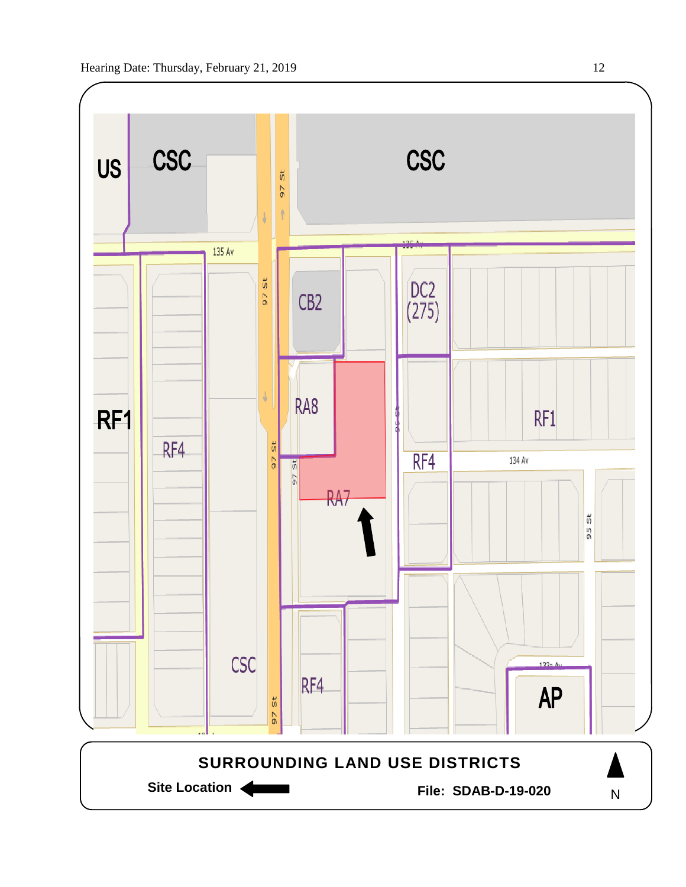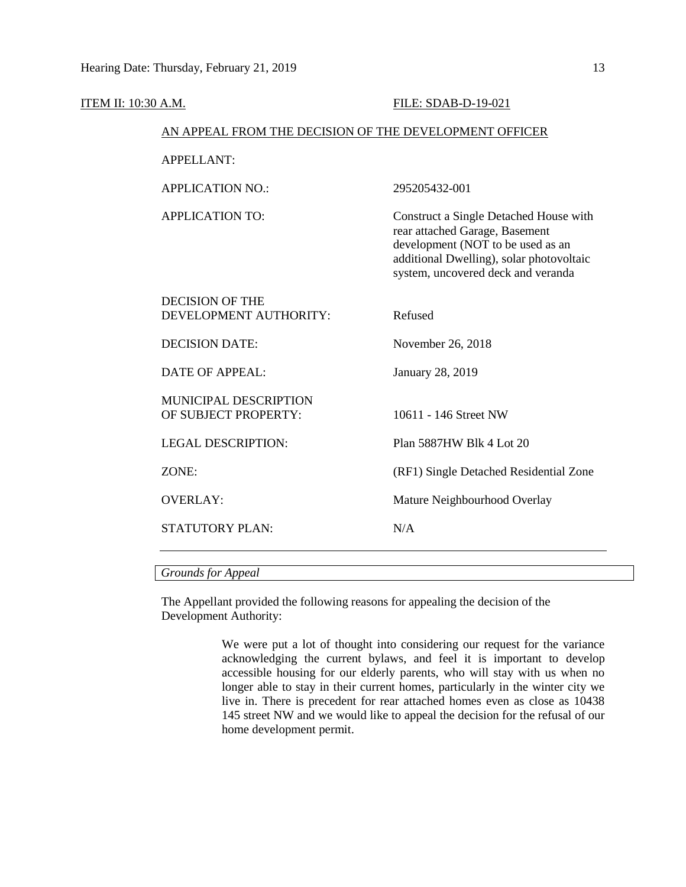| ITEM II: 10:30 A.M.                              | FILE: SDAB-D-19-021                                                                                                                                                                             |  |  |  |  |  |
|--------------------------------------------------|-------------------------------------------------------------------------------------------------------------------------------------------------------------------------------------------------|--|--|--|--|--|
|                                                  | AN APPEAL FROM THE DECISION OF THE DEVELOPMENT OFFICER                                                                                                                                          |  |  |  |  |  |
| APPELLANT:                                       |                                                                                                                                                                                                 |  |  |  |  |  |
| <b>APPLICATION NO.:</b>                          | 295205432-001                                                                                                                                                                                   |  |  |  |  |  |
| <b>APPLICATION TO:</b>                           | Construct a Single Detached House with<br>rear attached Garage, Basement<br>development (NOT to be used as an<br>additional Dwelling), solar photovoltaic<br>system, uncovered deck and veranda |  |  |  |  |  |
| <b>DECISION OF THE</b><br>DEVELOPMENT AUTHORITY: | Refused                                                                                                                                                                                         |  |  |  |  |  |
| <b>DECISION DATE:</b>                            | November 26, 2018                                                                                                                                                                               |  |  |  |  |  |
| <b>DATE OF APPEAL:</b>                           | January 28, 2019                                                                                                                                                                                |  |  |  |  |  |
| MUNICIPAL DESCRIPTION<br>OF SUBJECT PROPERTY:    | 10611 - 146 Street NW                                                                                                                                                                           |  |  |  |  |  |
| <b>LEGAL DESCRIPTION:</b>                        | Plan 5887HW Blk 4 Lot 20                                                                                                                                                                        |  |  |  |  |  |
| ZONE:                                            | (RF1) Single Detached Residential Zone                                                                                                                                                          |  |  |  |  |  |
| <b>OVERLAY:</b>                                  | Mature Neighbourhood Overlay                                                                                                                                                                    |  |  |  |  |  |
| <b>STATUTORY PLAN:</b>                           | N/A                                                                                                                                                                                             |  |  |  |  |  |
|                                                  |                                                                                                                                                                                                 |  |  |  |  |  |

# *Grounds for Appeal*

The Appellant provided the following reasons for appealing the decision of the Development Authority:

> We were put a lot of thought into considering our request for the variance acknowledging the current bylaws, and feel it is important to develop accessible housing for our elderly parents, who will stay with us when no longer able to stay in their current homes, particularly in the winter city we live in. There is precedent for rear attached homes even as close as 10438 145 street NW and we would like to appeal the decision for the refusal of our home development permit.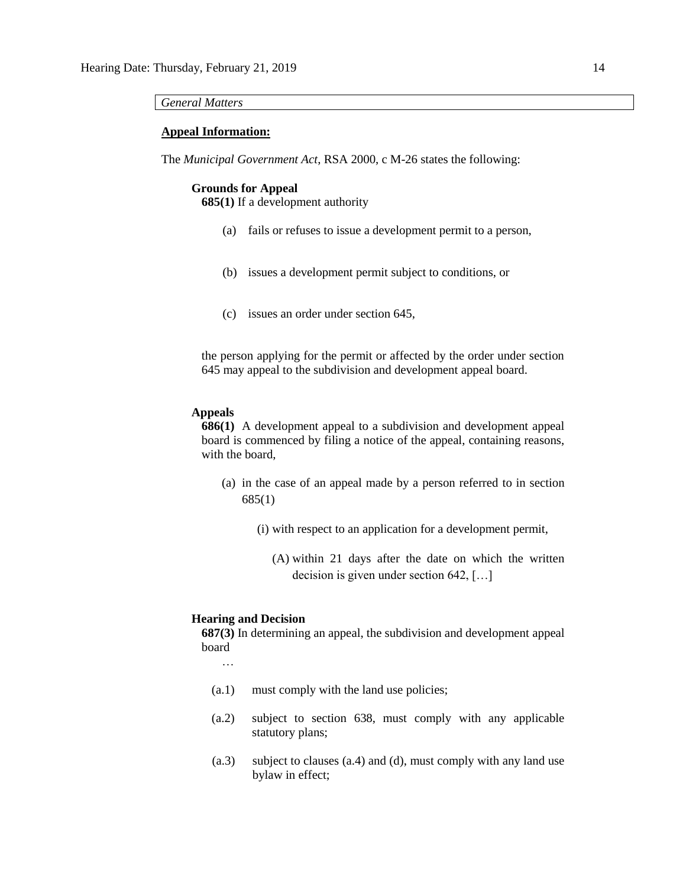#### *General Matters*

#### **Appeal Information:**

The *Municipal Government Act*, RSA 2000, c M-26 states the following:

#### **Grounds for Appeal**

**685(1)** If a development authority

- (a) fails or refuses to issue a development permit to a person,
- (b) issues a development permit subject to conditions, or
- (c) issues an order under section 645,

the person applying for the permit or affected by the order under section 645 may appeal to the subdivision and development appeal board.

# **Appeals**

**686(1)** A development appeal to a subdivision and development appeal board is commenced by filing a notice of the appeal, containing reasons, with the board,

- (a) in the case of an appeal made by a person referred to in section 685(1)
	- (i) with respect to an application for a development permit,
		- (A) within 21 days after the date on which the written decision is given under section 642, […]

#### **Hearing and Decision**

**687(3)** In determining an appeal, the subdivision and development appeal board

…

- (a.1) must comply with the land use policies;
- (a.2) subject to section 638, must comply with any applicable statutory plans;
- (a.3) subject to clauses (a.4) and (d), must comply with any land use bylaw in effect;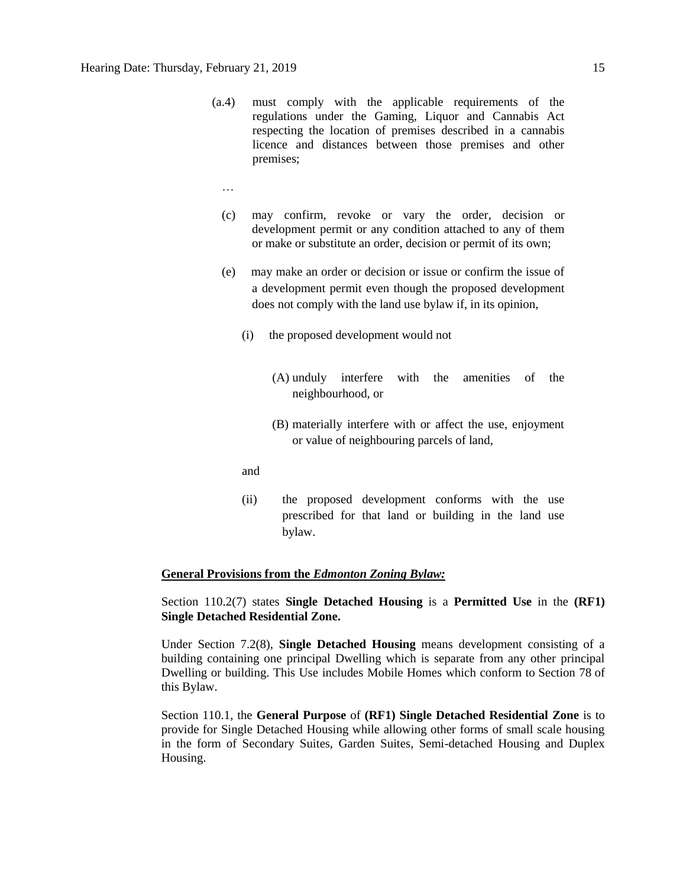- (a.4) must comply with the applicable requirements of the regulations under the Gaming, Liquor and Cannabis Act respecting the location of premises described in a cannabis licence and distances between those premises and other premises;
	- …
	- (c) may confirm, revoke or vary the order, decision or development permit or any condition attached to any of them or make or substitute an order, decision or permit of its own;
	- (e) may make an order or decision or issue or confirm the issue of a development permit even though the proposed development does not comply with the land use bylaw if, in its opinion,
		- (i) the proposed development would not
			- (A) unduly interfere with the amenities of the neighbourhood, or
			- (B) materially interfere with or affect the use, enjoyment or value of neighbouring parcels of land,
		- and
		- (ii) the proposed development conforms with the use prescribed for that land or building in the land use bylaw.

#### **General Provisions from the** *Edmonton Zoning Bylaw:*

Section 110.2(7) states **Single Detached Housing** is a **Permitted Use** in the **(RF1) Single Detached Residential Zone.** 

Under Section 7.2(8), **Single Detached Housing** means development consisting of a building containing one principal Dwelling which is separate from any other principal Dwelling or building. This Use includes Mobile Homes which conform to [Section 78](https://webdocs.edmonton.ca/InfraPlan/zoningbylaw/ZoningBylaw/Part1/Special_Land/78__Mobile_Homes.htm) of this Bylaw.

Section 110.1, the **General Purpose** of **(RF1) Single Detached Residential Zone** is to provide for Single Detached Housing while allowing other forms of small scale housing in the form of Secondary Suites, Garden Suites, Semi-detached Housing and Duplex Housing.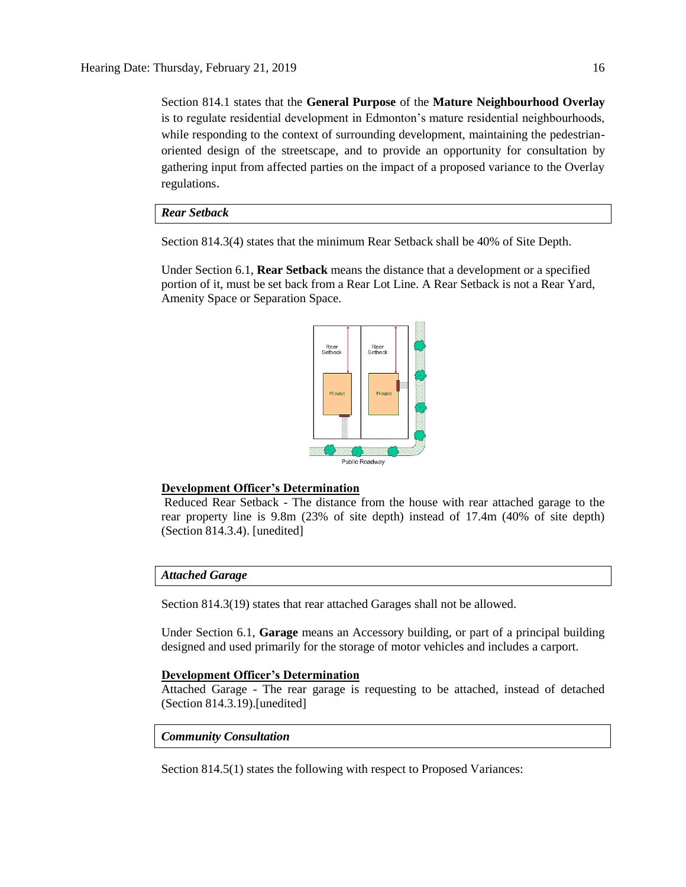Section 814.1 states that the **General Purpose** of the **Mature Neighbourhood Overlay**  is to regulate residential development in Edmonton's mature residential neighbourhoods, while responding to the context of surrounding development, maintaining the pedestrianoriented design of the streetscape, and to provide an opportunity for consultation by gathering input from affected parties on the impact of a proposed variance to the Overlay regulations.

#### *Rear Setback*

Section 814.3(4) states that the minimum Rear Setback shall be 40% of Site Depth.

Under Section 6.1, **Rear Setback** means the distance that a development or a specified portion of it, must be set back from a Rear Lot Line. A Rear Setback is not a Rear Yard, Amenity Space or Separation Space.



#### **Development Officer's Determination**

Reduced Rear Setback - The distance from the house with rear attached garage to the rear property line is 9.8m (23% of site depth) instead of 17.4m (40% of site depth) (Section 814.3.4). [unedited]

#### *Attached Garage*

Section 814.3(19) states that rear attached Garages shall not be allowed.

Under Section 6.1, **Garage** means an Accessory building, or part of a principal building designed and used primarily for the storage of motor vehicles and includes a carport.

#### **Development Officer's Determination**

Attached Garage - The rear garage is requesting to be attached, instead of detached (Section 814.3.19).[unedited]

#### *Community Consultation*

Section 814.5(1) states the following with respect to Proposed Variances: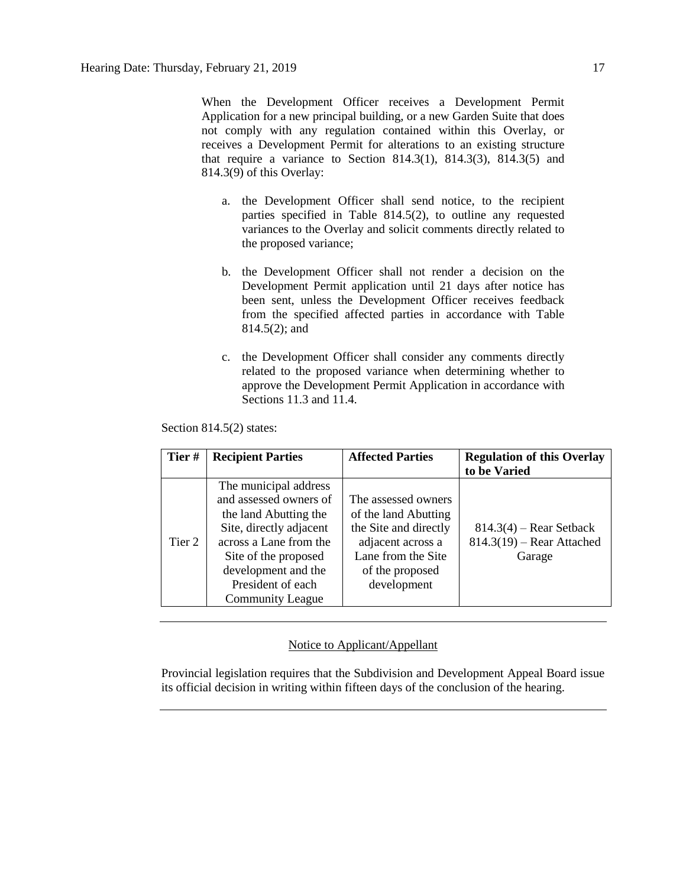When the Development Officer receives a Development Permit Application for a new principal building, or a new Garden Suite that does not comply with any regulation contained within this Overlay, or receives a Development Permit for alterations to an existing structure that require a variance to Section 814.3(1), 814.3(3), 814.3(5) and 814.3(9) of this Overlay:

- a. the Development Officer shall send notice, to the recipient parties specified in Table 814.5(2), to outline any requested variances to the Overlay and solicit comments directly related to the proposed variance;
- b. the Development Officer shall not render a decision on the Development Permit application until 21 days after notice has been sent, unless the Development Officer receives feedback from the specified affected parties in accordance with Table 814.5(2); and
- c. the Development Officer shall consider any comments directly related to the proposed variance when determining whether to approve the Development Permit Application in accordance with Sections 11.3 and 11.4.

Section 814.5(2) states:

| Tier#  | <b>Recipient Parties</b>                                                                                                                                                                                                     | <b>Affected Parties</b>                                                                                                                           | <b>Regulation of this Overlay</b><br>to be Varied                  |
|--------|------------------------------------------------------------------------------------------------------------------------------------------------------------------------------------------------------------------------------|---------------------------------------------------------------------------------------------------------------------------------------------------|--------------------------------------------------------------------|
| Tier 2 | The municipal address<br>and assessed owners of<br>the land Abutting the<br>Site, directly adjacent<br>across a Lane from the<br>Site of the proposed<br>development and the<br>President of each<br><b>Community League</b> | The assessed owners<br>of the land Abutting<br>the Site and directly<br>adjacent across a<br>Lane from the Site<br>of the proposed<br>development | $814.3(4)$ – Rear Setback<br>$814.3(19)$ – Rear Attached<br>Garage |

# Notice to Applicant/Appellant

Provincial legislation requires that the Subdivision and Development Appeal Board issue its official decision in writing within fifteen days of the conclusion of the hearing.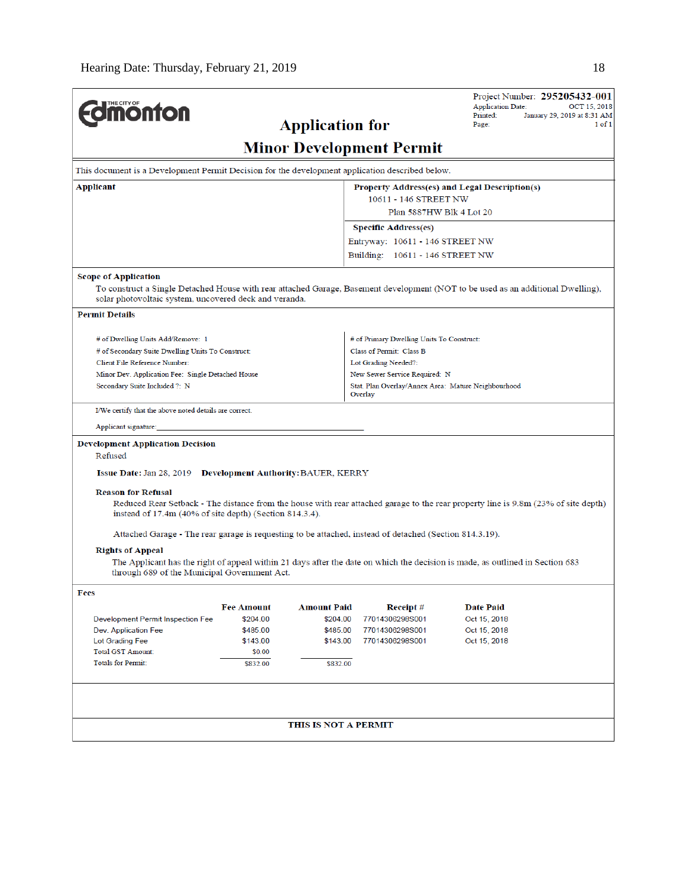|                                                                                                         |                                                                                                 |                      |                                                                | Project Number: 295205432-001<br><b>Application Date:</b><br>OCT 15, 2018                                                          |  |  |
|---------------------------------------------------------------------------------------------------------|-------------------------------------------------------------------------------------------------|----------------------|----------------------------------------------------------------|------------------------------------------------------------------------------------------------------------------------------------|--|--|
| <b>Imonton</b>                                                                                          | Printed:<br>January 29, 2019 at 8:31 AM<br>Page:<br>$1$ of $1$                                  |                      |                                                                |                                                                                                                                    |  |  |
| <b>Application for</b>                                                                                  |                                                                                                 |                      |                                                                |                                                                                                                                    |  |  |
| <b>Minor Development Permit</b>                                                                         |                                                                                                 |                      |                                                                |                                                                                                                                    |  |  |
|                                                                                                         | This document is a Development Permit Decision for the development application described below. |                      |                                                                |                                                                                                                                    |  |  |
| Applicant<br><b>Property Address(es) and Legal Description(s)</b>                                       |                                                                                                 |                      |                                                                |                                                                                                                                    |  |  |
|                                                                                                         |                                                                                                 |                      |                                                                | 10611 - 146 STREET NW                                                                                                              |  |  |
| Plan 5887HW Blk 4 Lot 20<br><b>Specific Address(es)</b>                                                 |                                                                                                 |                      |                                                                |                                                                                                                                    |  |  |
|                                                                                                         |                                                                                                 |                      |                                                                |                                                                                                                                    |  |  |
|                                                                                                         |                                                                                                 |                      | Entryway: 10611 - 146 STREET NW                                |                                                                                                                                    |  |  |
|                                                                                                         |                                                                                                 |                      | Building: 10611 - 146 STREET NW                                |                                                                                                                                    |  |  |
| <b>Scope of Application</b>                                                                             |                                                                                                 |                      |                                                                |                                                                                                                                    |  |  |
| solar photovoltaic system, uncovered deck and veranda.                                                  |                                                                                                 |                      |                                                                | To construct a Single Detached House with rear attached Garage, Basement development (NOT to be used as an additional Dwelling),   |  |  |
| <b>Permit Details</b>                                                                                   |                                                                                                 |                      |                                                                |                                                                                                                                    |  |  |
| # of Dwelling Units Add/Remove: 1                                                                       |                                                                                                 |                      | # of Primary Dwelling Units To Construct:                      |                                                                                                                                    |  |  |
| # of Secondary Suite Dwelling Units To Construct:                                                       |                                                                                                 |                      | Class of Permit: Class B                                       |                                                                                                                                    |  |  |
| Client File Reference Number:                                                                           |                                                                                                 |                      | Lot Grading Needed?:                                           |                                                                                                                                    |  |  |
| Minor Dev. Application Fee: Single Detached House                                                       |                                                                                                 |                      | New Sewer Service Required: N                                  |                                                                                                                                    |  |  |
| Secondary Suite Included ?: N                                                                           |                                                                                                 |                      | Stat. Plan Overlay/Annex Area: Mature Neighbourhood<br>Overlay |                                                                                                                                    |  |  |
| I/We certify that the above noted details are correct.                                                  |                                                                                                 |                      |                                                                |                                                                                                                                    |  |  |
| Applicant signature:                                                                                    |                                                                                                 |                      |                                                                |                                                                                                                                    |  |  |
| <b>Development Application Decision</b><br>Refused                                                      |                                                                                                 |                      |                                                                |                                                                                                                                    |  |  |
| <b>Issue Date: Jan 28, 2019 Development Authority: BAUER, KERRY</b>                                     |                                                                                                 |                      |                                                                |                                                                                                                                    |  |  |
| <b>Reason for Refusal</b>                                                                               |                                                                                                 |                      |                                                                |                                                                                                                                    |  |  |
|                                                                                                         |                                                                                                 |                      |                                                                | Reduced Rear Setback - The distance from the house with rear attached garage to the rear property line is 9.8m (23% of site depth) |  |  |
| instead of 17.4m (40% of site depth) (Section 814.3.4).                                                 |                                                                                                 |                      |                                                                |                                                                                                                                    |  |  |
| Attached Garage - The rear garage is requesting to be attached, instead of detached (Section 814.3.19). |                                                                                                 |                      |                                                                |                                                                                                                                    |  |  |
| <b>Rights of Appeal</b>                                                                                 |                                                                                                 |                      |                                                                |                                                                                                                                    |  |  |
| through 689 of the Municipal Government Act.                                                            |                                                                                                 |                      |                                                                | The Applicant has the right of appeal within 21 days after the date on which the decision is made, as outlined in Section 683      |  |  |
| Fees                                                                                                    |                                                                                                 |                      |                                                                |                                                                                                                                    |  |  |
|                                                                                                         | <b>Fee Amount</b>                                                                               | <b>Amount Paid</b>   | Receipt #                                                      | <b>Date Paid</b>                                                                                                                   |  |  |
| Development Permit Inspection Fee                                                                       | \$204.00                                                                                        | \$204.00             | 77014306298S001                                                | Oct 15, 2018                                                                                                                       |  |  |
| Dev. Application Fee<br>Lot Grading Fee                                                                 | \$485.00<br>\$143.00                                                                            | \$485.00<br>\$143.00 | 77014306298S001<br>77014306298S001                             | Oct 15, 2018<br>Oct 15, 2018                                                                                                       |  |  |
| Total GST Amount:                                                                                       | \$0.00                                                                                          |                      |                                                                |                                                                                                                                    |  |  |
| <b>Totals for Permit:</b>                                                                               | \$832.00                                                                                        | \$832.00             |                                                                |                                                                                                                                    |  |  |
|                                                                                                         |                                                                                                 |                      |                                                                |                                                                                                                                    |  |  |
|                                                                                                         |                                                                                                 |                      |                                                                |                                                                                                                                    |  |  |
|                                                                                                         |                                                                                                 | THIS IS NOT A PERMIT |                                                                |                                                                                                                                    |  |  |
|                                                                                                         |                                                                                                 |                      |                                                                |                                                                                                                                    |  |  |